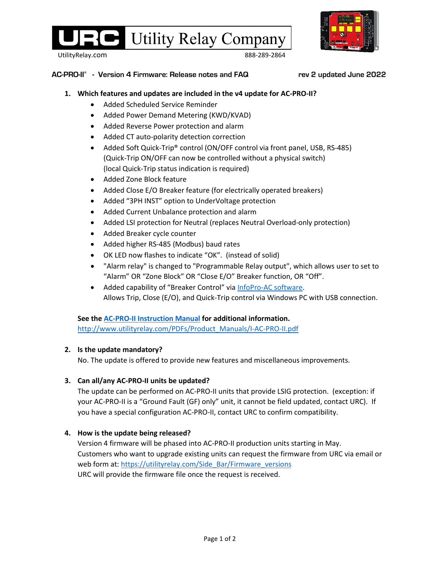

UtilityRelay.com 888-289-2864

#### **AC-PRO-II® - Version 4 Firmware: Release notes and FAQ rev 2 updated June 2022**

## **1. Which features and updates are included in the v4 update for AC-PRO-II?**

- Added Scheduled Service Reminder
- Added Power Demand Metering (KWD/KVAD)
- Added Reverse Power protection and alarm
- Added CT auto-polarity detection correction
- Added Soft Quick-Trip® control (ON/OFF control via front panel, USB, RS-485) (Quick-Trip ON/OFF can now be controlled without a physical switch) (local Quick-Trip status indication is required)
- Added Zone Block feature
- Added Close E/O Breaker feature (for electrically operated breakers)
- Added "3PH INST" option to UnderVoltage protection
- Added Current Unbalance protection and alarm
- Added LSI protection for Neutral (replaces Neutral Overload-only protection)
- Added Breaker cycle counter
- Added higher RS-485 (Modbus) baud rates
- OK LED now flashes to indicate "OK". (instead of solid)
- "Alarm relay" is changed to "Programmable Relay output", which allows user to set to "Alarm" OR "Zone Block" OR "Close E/O" Breaker function, OR "Off".
- Added capability of "Breaker Control" via [InfoPro-AC software.](https://utilityrelay.com/products/InfoPro) Allows Trip, Close (E/O), and Quick-Trip control via Windows PC with USB connection.

### **See th[e AC-PRO-II Instruction Manual](https://utilityrelay.com/PDFs/Product_Manuals/I-AC-PRO-II.pdf) for additional information.**

[http://www.utilityrelay.com/PDFs/Product\\_Manuals/I-AC-PRO-II.pdf](http://www.utilityrelay.com/PDFs/Product_Manuals/I-AC-PRO-II.pdf)

### **2. Is the update mandatory?**

No. The update is offered to provide new features and miscellaneous improvements.

### **3. Can all/any AC-PRO-II units be updated?**

The update can be performed on AC-PRO-II units that provide LSIG protection. (exception: if your AC-PRO-II is a "Ground Fault (GF) only" unit, it cannot be field updated, contact URC). If you have a special configuration AC-PRO-II, contact URC to confirm compatibility.

# **4. How is the update being released?**

Version 4 firmware will be phased into AC-PRO-II production units starting in May. Customers who want to upgrade existing units can request the firmware from URC via email or web form at: [https://utilityrelay.com/Side\\_Bar/Firmware\\_versions](https://utilityrelay.com/Side_Bar/Firmware_versions) URC will provide the firmware file once the request is received.